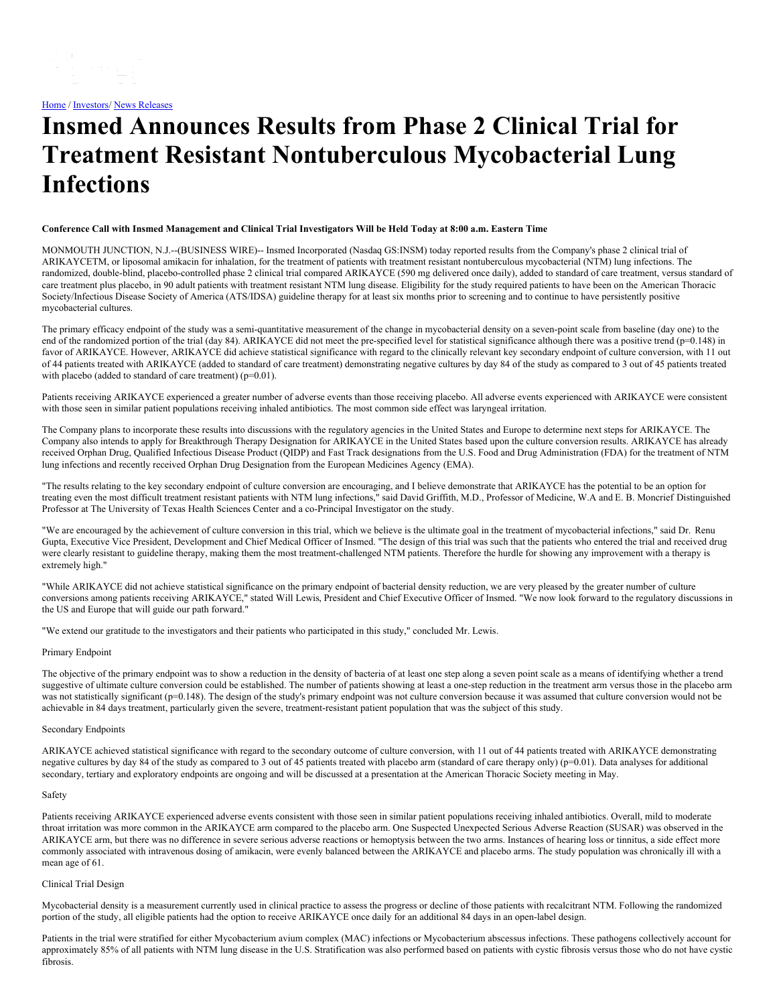# [Home](https://insmed.com/) / [Investors](https://investor.insmed.com/index)/ News [Releases](https://investor.insmed.com/releases)

# **Insmed Announces Results from Phase 2 Clinical Trial for Treatment Resistant Nontuberculous Mycobacterial Lung Infections**

# Conference Call with Insmed Management and Clinical Trial Investigators Will be Held Today at 8:00 a.m. Eastern Time

MONMOUTH JUNCTION, N.J.--(BUSINESS WIRE)-- Insmed Incorporated (Nasdaq GS:INSM) today reported results from the Company's phase 2 clinical trial of ARIKAYCETM, or liposomal amikacin for inhalation, for the treatment of patients with treatment resistant nontuberculous mycobacterial (NTM) lung infections. The randomized, double-blind, placebo-controlled phase 2 clinical trial compared ARIKAYCE (590 mg delivered once daily), added to standard of care treatment, versus standard of care treatment plus placebo, in 90 adult patients with treatment resistant NTM lung disease. Eligibility for the study required patients to have been on the American Thoracic Society/Infectious Disease Society of America (ATS/IDSA) guideline therapy for at least six months prior to screening and to continue to have persistently positive mycobacterial cultures.

The primary efficacy endpoint of the study was a semi-quantitative measurement of the change in mycobacterial density on a seven-point scale from baseline (day one) to the end of the randomized portion of the trial (day 84). ARIKAYCE did not meet the pre-specified level for statistical significance although there was a positive trend (p=0.148) in favor of ARIKAYCE. However, ARIKAYCE did achieve statistical significance with regard to the clinically relevant key secondary endpoint of culture conversion, with 11 out of 44 patients treated with ARIKAYCE (added to standard of care treatment) demonstrating negative cultures by day 84 of the study as compared to 3 out of 45 patients treated with placebo (added to standard of care treatment) (p=0.01).

Patients receiving ARIKAYCE experienced a greater number of adverse events than those receiving placebo. All adverse events experienced with ARIKAYCE were consistent with those seen in similar patient populations receiving inhaled antibiotics. The most common side effect was laryngeal irritation.

The Company plans to incorporate these results into discussions with the regulatory agencies in the United States and Europe to determine next steps for ARIKAYCE. The Company also intends to apply for Breakthrough Therapy Designation for ARIKAYCE in the United States based upon the culture conversion results. ARIKAYCE has already received Orphan Drug, Qualified Infectious Disease Product (QIDP) and Fast Track designations from the U.S. Food and Drug Administration (FDA) for the treatment of NTM lung infections and recently received Orphan Drug Designation from the European Medicines Agency (EMA).

"The results relating to the key secondary endpoint of culture conversion are encouraging, and I believe demonstrate that ARIKAYCE has the potential to be an option for treating even the most difficult treatment resistant patients with NTM lung infections," said David Griffith, M.D., Professor of Medicine, W.A and E. B. Moncrief Distinguished Professor at The University of Texas Health Sciences Center and a co-Principal Investigator on the study.

"We are encouraged by the achievement of culture conversion in this trial, which we believe is the ultimate goal in the treatment of mycobacterial infections," said Dr. Renu Gupta, Executive Vice President, Development and Chief Medical Officer of Insmed. "The design of this trial was such that the patients who entered the trial and received drug were clearly resistant to guideline therapy, making them the most treatment-challenged NTM patients. Therefore the hurdle for showing any improvement with a therapy is extremely high."

"While ARIKAYCE did not achieve statistical significance on the primary endpoint of bacterial density reduction, we are very pleased by the greater number of culture conversions among patients receiving ARIKAYCE," stated Will Lewis, President and Chief Executive Officer of Insmed. "We now look forward to the regulatory discussions in the US and Europe that will guide our path forward."

"We extend our gratitude to the investigators and their patients who participated in this study," concluded Mr. Lewis.

#### Primary Endpoint

The objective of the primary endpoint was to show a reduction in the density of bacteria of at least one step along a seven point scale as a means of identifying whether a trend suggestive of ultimate culture conversion could be established. The number of patients showing at least a one-step reduction in the treatment arm versus those in the placebo arm was not statistically significant (p=0.148). The design of the study's primary endpoint was not culture conversion because it was assumed that culture conversion would not be achievable in 84 days treatment, particularly given the severe, treatment-resistant patient population that was the subject of this study.

#### Secondary Endpoints

ARIKAYCE achieved statistical significance with regard to the secondary outcome of culture conversion, with 11 out of 44 patients treated with ARIKAYCE demonstrating negative cultures by day 84 of the study as compared to 3 out of 45 patients treated with placebo arm (standard of care therapy only) (p=0.01). Data analyses for additional secondary, tertiary and exploratory endpoints are ongoing and will be discussed at a presentation at the American Thoracic Society meeting in May.

#### Safety

Patients receiving ARIKAYCE experienced adverse events consistent with those seen in similar patient populations receiving inhaled antibiotics. Overall, mild to moderate throat irritation was more common in the ARIKAYCE arm compared to the placebo arm. One Suspected Unexpected Serious Adverse Reaction (SUSAR) was observed in the ARIKAYCE arm, but there was no difference in severe serious adverse reactions or hemoptysis between the two arms. Instances of hearing loss or tinnitus, a side effect more commonly associated with intravenous dosing of amikacin, were evenly balanced between the ARIKAYCE and placebo arms. The study population was chronically ill with a mean age of 61.

### Clinical Trial Design

Mycobacterial density is a measurement currently used in clinical practice to assess the progress or decline of those patients with recalcitrant NTM. Following the randomized portion of the study, all eligible patients had the option to receive ARIKAYCE once daily for an additional 84 days in an open-label design.

Patients in the trial were stratified for either Mycobacterium avium complex (MAC) infections or Mycobacterium abscessus infections. These pathogens collectively account for approximately 85% of all patients with NTM lung disease in the U.S. Stratification was also performed based on patients with cystic fibrosis versus those who do not have cystic fibrosis.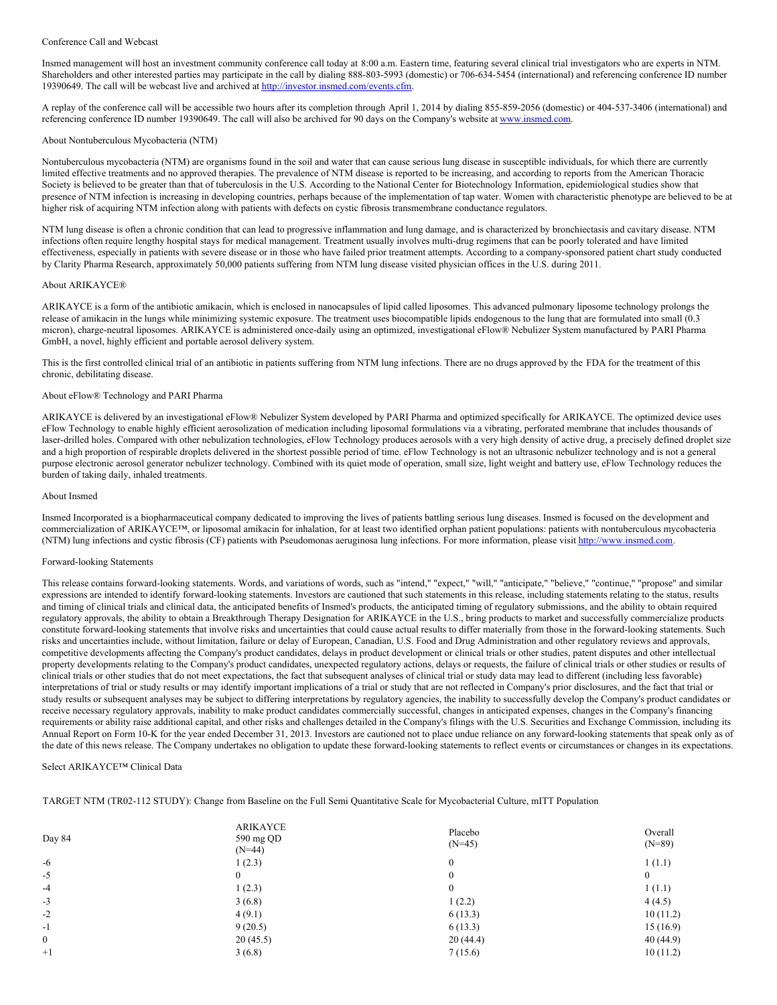#### Conference Call and Webcast

Insmed management will host an investment community conference call today at 8:00 a.m. Eastern time, featuring several clinical trial investigators who are experts in NTM. Shareholders and other interested parties may participate in the call by dialing 888-803-5993 (domestic) or 706-634-5454 (international) and referencing conference ID number 19390649. The call will be webcast live and archived at [http://investor.insmed.com/events.cfm](http://cts.businesswire.com/ct/CT?id=smartlink&url=http%3A%2F%2Finvestor.insmed.com%2Fevents.cfm&esheet=50831955&newsitemid=20140326005630&lan=en-US&anchor=http%3A%2F%2Finvestor.insmed.com%2Fevents.cfm&index=1&md5=ce3683c62b5dd24b2be176ecaa09f1bc).

A replay of the conference call will be accessible two hours after its completion through April 1, 2014 by dialing 855-859-2056 (domestic) or 404-537-3406 (international) and referencing conference ID number 19390649. The call will also be archived for 90 days on the Company's website at [www.insmed.com.](http://cts.businesswire.com/ct/CT?id=smartlink&url=http%3A%2F%2Fwww.insmed.com&esheet=50831955&newsitemid=20140326005630&lan=en-US&anchor=www.insmed.com&index=2&md5=5cde8dfe3e0a6debe9f506f381187dc7)

#### About Nontuberculous Mycobacteria (NTM)

Nontuberculous mycobacteria (NTM) are organisms found in the soil and water that can cause serious lung disease in susceptible individuals, for which there are currently limited effective treatments and no approved therapies. The prevalence of NTM disease is reported to be increasing, and according to reports from the American Thoracic Society is believed to be greater than that of tuberculosis in the U.S. According to the National Center for Biotechnology Information, epidemiological studies show that presence of NTM infection is increasing in developing countries, perhaps because of the implementation of tap water. Women with characteristic phenotype are believed to be at higher risk of acquiring NTM infection along with patients with defects on cystic fibrosis transmembrane conductance regulators.

NTM lung disease is often a chronic condition that can lead to progressive inflammation and lung damage, and is characterized by bronchiectasis and cavitary disease. NTM infections often require lengthy hospital stays for medical management. Treatment usually involves multi-drug regimens that can be poorly tolerated and have limited effectiveness, especially in patients with severe disease or in those who have failed prior treatment attempts. According to a company-sponsored patient chart study conducted by Clarity Pharma Research, approximately 50,000 patients suffering from NTM lung disease visited physician offices in the U.S. during 2011.

## About ARIKAYCE®

ARIKAYCE is a form of the antibiotic amikacin, which is enclosed in nanocapsules of lipid called liposomes. This advanced pulmonary liposome technology prolongs the release of amikacin in the lungs while minimizing systemic exposure. The treatment uses biocompatible lipids endogenous to the lung that are formulated into small (0.3 micron), charge-neutral liposomes. ARIKAYCE is administered once-daily using an optimized, investigational eFlow® Nebulizer System manufactured by PARI Pharma GmbH, a novel, highly efficient and portable aerosol delivery system.

This is the first controlled clinical trial of an antibiotic in patients suffering from NTM lung infections. There are no drugs approved by the FDA for the treatment of this chronic, debilitating disease.

# About eFlow® Technology and PARI Pharma

ARIKAYCE is delivered by an investigational eFlow® Nebulizer System developed by PARI Pharma and optimized specifically for ARIKAYCE. The optimized device uses eFlow Technology to enable highly efficient aerosolization of medication including liposomal formulations via a vibrating, perforated membrane that includes thousands of laser-drilled holes. Compared with other nebulization technologies, eFlow Technology produces aerosols with a very high density of active drug, a precisely defined droplet size and a high proportion of respirable droplets delivered in the shortest possible period of time. eFlow Technology is not an ultrasonic nebulizer technology and is not a general purpose electronic aerosol generator nebulizer technology. Combined with its quiet mode of operation, small size, light weight and battery use, eFlow Technology reduces the burden of taking daily, inhaled treatments.

#### About Insmed

Insmed Incorporated is a biopharmaceutical company dedicated to improving the lives of patients battling serious lung diseases. Insmed is focused on the development and commercialization of ARIKAYCE™, or liposomal amikacin for inhalation, for at least two identified orphan patient populations: patients with nontuberculous mycobacteria (NTM) lung infections and cystic fibrosis (CF) patients with Pseudomonas aeruginosa lung infections. For more information, please visit [http://www.insmed.com](http://cts.businesswire.com/ct/CT?id=smartlink&url=http%3A%2F%2Fwww.insmed.com&esheet=50831955&newsitemid=20140326005630&lan=en-US&anchor=http%3A%2F%2Fwww.insmed.com&index=3&md5=eb79d41dd2be411a284527ca39a45f77).

#### Forward-looking Statements

This release contains forward-looking statements. Words, and variations of words, such as "intend," "expect," "will," "anticipate," "believe," "continue," "propose" and similar expressions are intended to identify forward-looking statements. Investors are cautioned that such statements in this release, including statements relating to the status, results and timing of clinical trials and clinical data, the anticipated benefits of Insmed's products, the anticipated timing of regulatory submissions, and the ability to obtain required regulatory approvals, the ability to obtain a Breakthrough Therapy Designation for ARIKAYCE in the U.S., bring products to market and successfully commercialize products constitute forward-looking statements that involve risks and uncertainties that could cause actual results to differ materially from those in the forward-looking statements. Such risks and uncertainties include, without limitation, failure or delay of European, Canadian, U.S. Food and Drug Administration and other regulatory reviews and approvals, competitive developments affecting the Company's product candidates, delays in product development or clinical trials or other studies, patent disputes and other intellectual property developments relating to the Company's product candidates, unexpected regulatory actions, delays or requests, the failure of clinical trials or other studies or results of clinical trials or other studies that do not meet expectations, the fact that subsequent analyses of clinical trial or study data may lead to different (including less favorable) interpretations of trial or study results or may identify important implications of a trial or study that are not reflected in Company's prior disclosures, and the fact that trial or study results or subsequent analyses may be subject to differing interpretations by regulatory agencies, the inability to successfully develop the Company's product candidates or receive necessary regulatory approvals, inability to make product candidates commercially successful, changes in anticipated expenses, changes in the Company's financing requirements or ability raise additional capital, and other risks and challenges detailed in the Company's filings with the U.S. Securities and Exchange Commission, including its Annual Report on Form 10-K for the year ended December 31, 2013. Investors are cautioned not to place undue reliance on any forward-looking statements that speak only as of the date of this news release. The Company undertakes no obligation to update these forward-looking statements to reflect events or circumstances or changes in its expectations.

## Select ARIKAYCE™ Clinical Data

TARGET NTM (TR02-112 STUDY): Change from Baseline on the Full Semi Quantitative Scale for Mycobacterial Culture, mITT Population

| Day 84       | <b>ARIKAYCE</b><br>590 mg QD<br>$(N=44)$ | Placebo<br>$(N=45)$ | Overall<br>$(N=89)$ |
|--------------|------------------------------------------|---------------------|---------------------|
| -6           | 1(2.3)                                   | $\mathbf{0}$        | 1(1.1)              |
| $-5$         | $\theta$                                 | $\mathbf{0}$        | $\mathbf{0}$        |
| $-4$         | 1(2.3)                                   | $\mathbf{0}$        | 1(1.1)              |
| $-3$         | 3(6.8)                                   | 1(2.2)              | 4(4.5)              |
| $-2$         | 4(9.1)                                   | 6(13.3)             | 10(11.2)            |
| $-1$         | 9(20.5)                                  | 6(13.3)             | 15(16.9)            |
| $\mathbf{0}$ | 20(45.5)                                 | 20(44.4)            | 40(44.9)            |
| $+1$         | 3(6.8)                                   | 7(15.6)             | 10(11.2)            |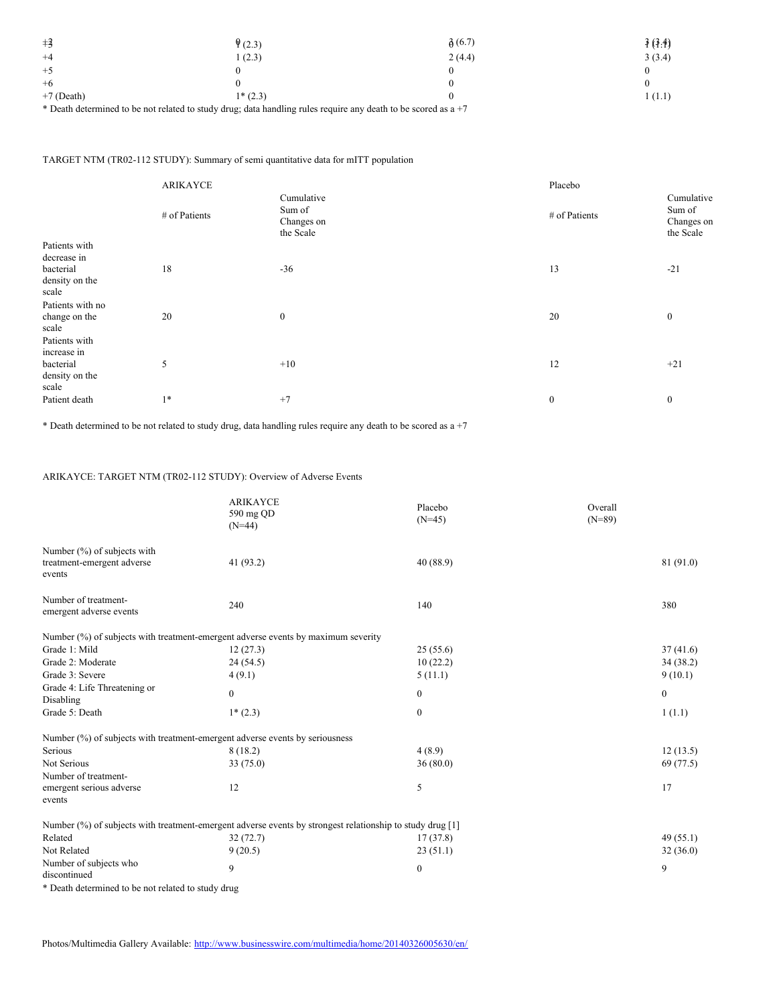| $\pm 3$      | $\oint (2.3)$                                                                                                  | $\lambda(6.7)$ | 7 (7:4) |
|--------------|----------------------------------------------------------------------------------------------------------------|----------------|---------|
| $+4$         | (2.3)                                                                                                          | 2(4.4)         | 3(3.4)  |
| $+5$         |                                                                                                                |                |         |
| $+6$         |                                                                                                                |                |         |
| $+7$ (Death) | $1*(2.3)$                                                                                                      |                | 1(1.1)  |
|              | * Death determined to be not related to study drug; data handling rules require any death to be scored as a +7 |                |         |

TARGET NTM (TR02-112 STUDY): Summary of semi quantitative data for mITT population

|                                                             | <b>ARIKAYCE</b> |                                                 | Placebo          |                                                 |
|-------------------------------------------------------------|-----------------|-------------------------------------------------|------------------|-------------------------------------------------|
|                                                             | # of Patients   | Cumulative<br>Sum of<br>Changes on<br>the Scale | # of Patients    | Cumulative<br>Sum of<br>Changes on<br>the Scale |
| Patients with                                               |                 |                                                 |                  |                                                 |
| decrease in<br>bacterial<br>density on the<br>scale         | 18              | $-36$                                           | 13               | $-21$                                           |
| Patients with no<br>change on the<br>scale                  | 20              | $\boldsymbol{0}$                                | 20               | $\bf{0}$                                        |
| Patients with<br>increase in<br>bacterial<br>density on the | 5               | $+10$                                           | 12               | $+21$                                           |
| scale<br>Patient death                                      | $1*$            | $+7$                                            | $\boldsymbol{0}$ | $\boldsymbol{0}$                                |

 $*$  Death determined to be not related to study drug, data handling rules require any death to be scored as a +7

# ARIKAYCE: TARGET NTM (TR02-112 STUDY): Overview of Adverse Events

| Number (%) of subjects with<br>41 (93.2)<br>40 (88.9)<br>treatment-emergent adverse<br>events<br>Number of treatment-<br>240<br>140<br>380<br>emergent adverse events | 81 (91.0) |
|-----------------------------------------------------------------------------------------------------------------------------------------------------------------------|-----------|
|                                                                                                                                                                       |           |
|                                                                                                                                                                       |           |
| Number $(\%)$ of subjects with treatment-emergent adverse events by maximum severity                                                                                  |           |
| Grade 1: Mild<br>12(27.3)<br>25(55.6)                                                                                                                                 | 37(41.6)  |
| Grade 2: Moderate<br>24(54.5)<br>10(22.2)                                                                                                                             | 34(38.2)  |
| Grade 3: Severe<br>4(9.1)<br>5(11.1)                                                                                                                                  | 9(10.1)   |
| Grade 4: Life Threatening or<br>$\mathbf{0}$<br>$\boldsymbol{0}$<br>$\boldsymbol{0}$<br>Disabling                                                                     |           |
| Grade 5: Death<br>$1*(2.3)$<br>$\mathbf{0}$<br>1(1.1)                                                                                                                 |           |
| Number (%) of subjects with treatment-emergent adverse events by seriousness                                                                                          |           |
| Serious<br>8(18.2)<br>4(8.9)                                                                                                                                          | 12(13.5)  |
| Not Serious<br>33 (75.0)<br>36(80.0)                                                                                                                                  | 69(77.5)  |
| Number of treatment-                                                                                                                                                  |           |
| 5<br>17<br>emergent serious adverse<br>12<br>events                                                                                                                   |           |
| Number (%) of subjects with treatment-emergent adverse events by strongest relationship to study drug [1]                                                             |           |
| Related<br>32(72.7)<br>17(37.8)                                                                                                                                       | 49(55.1)  |
| Not Related<br>9(20.5)<br>23(51.1)                                                                                                                                    | 32(36.0)  |
| Number of subjects who<br>9<br>9<br>$\boldsymbol{0}$<br>discontinued                                                                                                  |           |

\* Death determined to be not related to study drug